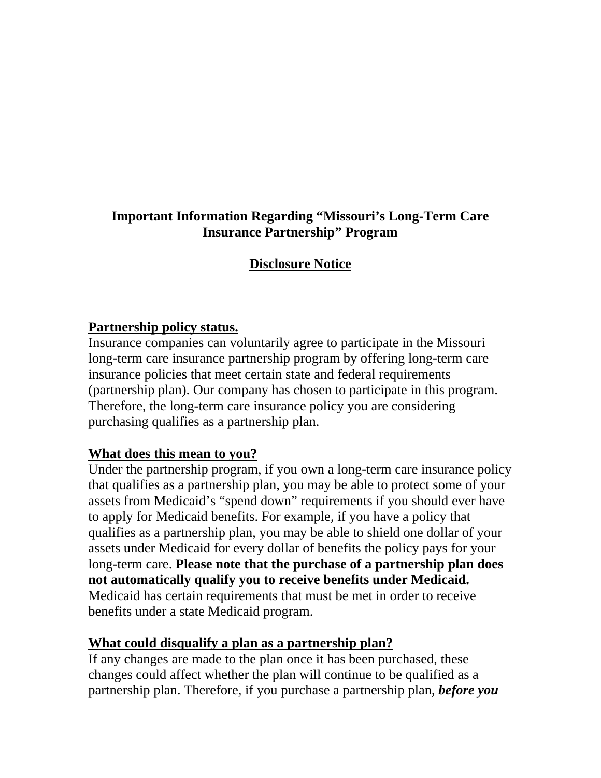## **Important Information Regarding "Missouri's Long-Term Care Insurance Partnership" Program**

# **Disclosure Notice**

### **Partnership policy status.**

Insurance companies can voluntarily agree to participate in the Missouri long-term care insurance partnership program by offering long-term care insurance policies that meet certain state and federal requirements (partnership plan). Our company has chosen to participate in this program. Therefore, the long-term care insurance policy you are considering purchasing qualifies as a partnership plan.

#### **What does this mean to you?**

Under the partnership program, if you own a long-term care insurance policy that qualifies as a partnership plan, you may be able to protect some of your assets from Medicaid's "spend down" requirements if you should ever have to apply for Medicaid benefits. For example, if you have a policy that qualifies as a partnership plan, you may be able to shield one dollar of your assets under Medicaid for every dollar of benefits the policy pays for your long-term care. **Please note that the purchase of a partnership plan does not automatically qualify you to receive benefits under Medicaid.**  Medicaid has certain requirements that must be met in order to receive benefits under a state Medicaid program.

## **What could disqualify a plan as a partnership plan?**

If any changes are made to the plan once it has been purchased, these changes could affect whether the plan will continue to be qualified as a partnership plan. Therefore, if you purchase a partnership plan, *before you*